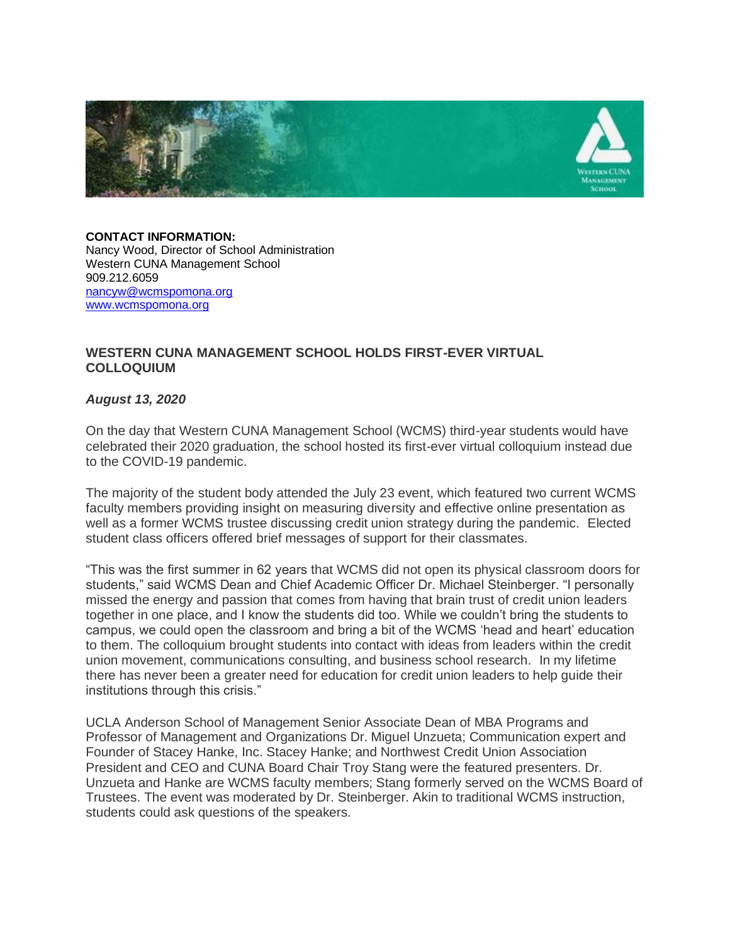

**CONTACT INFORMATION:** Nancy Wood, Director of School Administration Western CUNA Management School 909.212.6059 [nancyw@wcmspomona.org](mailto:nancyw@wcmspomona.org) [www.wcmspomona.org](https://nam01.safelinks.protection.outlook.com/?url=http%3A%2F%2Fwww.wcmspomona.org%2F&data=02%7C01%7CMichael.Steinberger%40pomona.edu%7C2b9e7bdc2faa41a10dee08d83a699795%7C817f590439044ee8b3a5a65d4746ff70%7C0%7C0%7C637323572502810206&sdata=xToOhXT2j%2BaXOQ797ZarEu6Q8nm2P3m0AT%2B60h1Ickc%3D&reserved=0)

## **WESTERN CUNA MANAGEMENT SCHOOL HOLDS FIRST-EVER VIRTUAL COLLOQUIUM**

## *August 13, 2020*

On the day that Western CUNA Management School (WCMS) third-year students would have celebrated their 2020 graduation, the school hosted its first-ever virtual colloquium instead due to the COVID-19 pandemic.

The majority of the student body attended the July 23 event, which featured two current WCMS faculty members providing insight on measuring diversity and effective online presentation as well as a former WCMS trustee discussing credit union strategy during the pandemic. Elected student class officers offered brief messages of support for their classmates.

"This was the first summer in 62 years that WCMS did not open its physical classroom doors for students," said WCMS Dean and Chief Academic Officer Dr. Michael Steinberger. "I personally missed the energy and passion that comes from having that brain trust of credit union leaders together in one place, and I know the students did too. While we couldn't bring the students to campus, we could open the classroom and bring a bit of the WCMS 'head and heart' education to them. The colloquium brought students into contact with ideas from leaders within the credit union movement, communications consulting, and business school research. In my lifetime there has never been a greater need for education for credit union leaders to help guide their institutions through this crisis."

UCLA Anderson School of Management Senior Associate Dean of MBA Programs and Professor of Management and Organizations Dr. Miguel Unzueta; Communication expert and Founder of Stacey Hanke, Inc. Stacey Hanke; and Northwest Credit Union Association President and CEO and CUNA Board Chair Troy Stang were the featured presenters. Dr. Unzueta and Hanke are WCMS faculty members; Stang formerly served on the WCMS Board of Trustees. The event was moderated by Dr. Steinberger. Akin to traditional WCMS instruction, students could ask questions of the speakers.